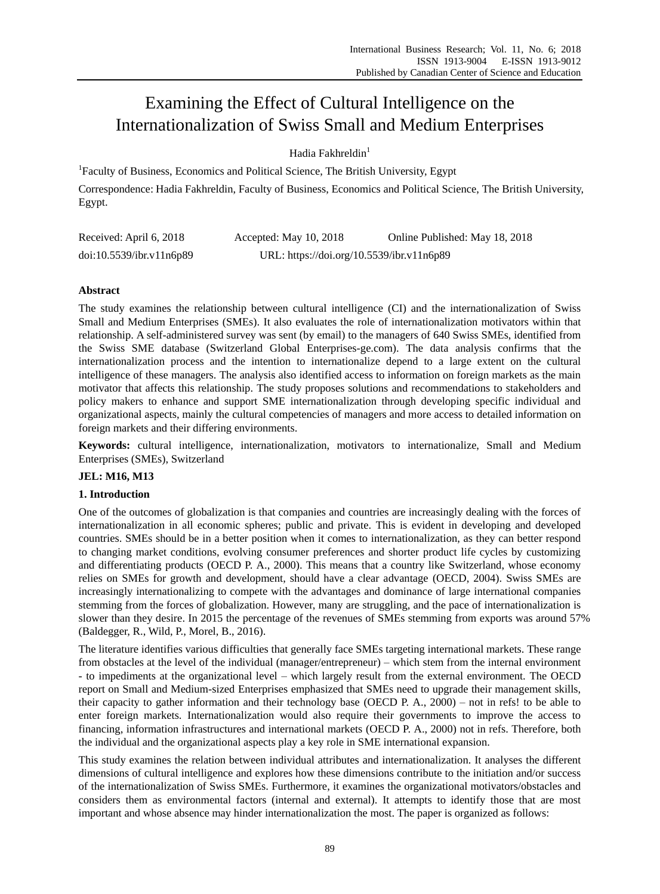# Examining the Effect of Cultural Intelligence on the Internationalization of Swiss Small and Medium Enterprises

Hadia Fakhreldin<sup>1</sup>

<sup>1</sup>Faculty of Business, Economics and Political Science, The British University, Egypt Correspondence: Hadia Fakhreldin, Faculty of Business, Economics and Political Science, The British University, Egypt.

| Received: April 6, 2018  | Accepted: May 10, 2018                    | Online Published: May 18, 2018 |
|--------------------------|-------------------------------------------|--------------------------------|
| doi:10.5539/ibr.v11n6p89 | URL: https://doi.org/10.5539/ibr.v11n6p89 |                                |

# **Abstract**

The study examines the relationship between cultural intelligence (CI) and the internationalization of Swiss Small and Medium Enterprises (SMEs). It also evaluates the role of internationalization motivators within that relationship. A self-administered survey was sent (by email) to the managers of 640 Swiss SMEs, identified from the Swiss SME database (Switzerland Global Enterprises-ge.com). The data analysis confirms that the internationalization process and the intention to internationalize depend to a large extent on the cultural intelligence of these managers. The analysis also identified access to information on foreign markets as the main motivator that affects this relationship. The study proposes solutions and recommendations to stakeholders and policy makers to enhance and support SME internationalization through developing specific individual and organizational aspects, mainly the cultural competencies of managers and more access to detailed information on foreign markets and their differing environments.

**Keywords:** cultural intelligence, internationalization, motivators to internationalize, Small and Medium Enterprises (SMEs), Switzerland

# **JEL: M16, M13**

# **1. Introduction**

One of the outcomes of globalization is that companies and countries are increasingly dealing with the forces of internationalization in all economic spheres; public and private. This is evident in developing and developed countries. SMEs should be in a better position when it comes to internationalization, as they can better respond to changing market conditions, evolving consumer preferences and shorter product life cycles by customizing and differentiating products (OECD P. A., 2000). This means that a country like Switzerland, whose economy relies on SMEs for growth and development, should have a clear advantage (OECD, 2004). Swiss SMEs are increasingly internationalizing to compete with the advantages and dominance of large international companies stemming from the forces of globalization. However, many are struggling, and the pace of internationalization is slower than they desire. In 2015 the percentage of the revenues of SMEs stemming from exports was around 57% (Baldegger, R., Wild, P., Morel, B., 2016).

The literature identifies various difficulties that generally face SMEs targeting international markets. These range from obstacles at the level of the individual (manager/entrepreneur) – which stem from the internal environment - to impediments at the organizational level – which largely result from the external environment. The OECD report on Small and Medium-sized Enterprises emphasized that SMEs need to upgrade their management skills, their capacity to gather information and their technology base (OECD P. A., 2000) – not in refs! to be able to enter foreign markets. Internationalization would also require their governments to improve the access to financing, information infrastructures and international markets (OECD P. A., 2000) not in refs. Therefore, both the individual and the organizational aspects play a key role in SME international expansion.

This study examines the relation between individual attributes and internationalization. It analyses the different dimensions of cultural intelligence and explores how these dimensions contribute to the initiation and/or success of the internationalization of Swiss SMEs. Furthermore, it examines the organizational motivators/obstacles and considers them as environmental factors (internal and external). It attempts to identify those that are most important and whose absence may hinder internationalization the most. The paper is organized as follows: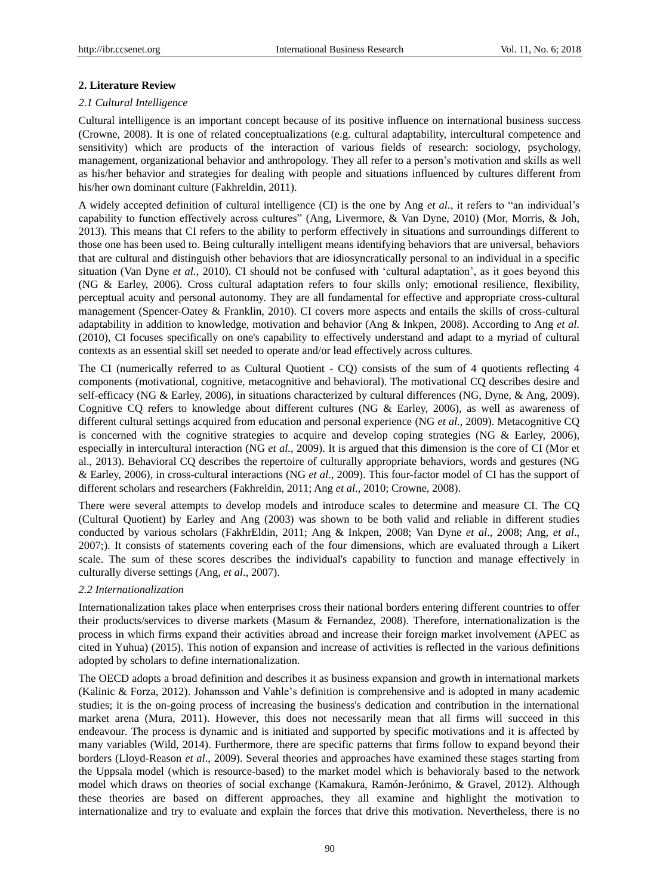## **2. Literature Review**

## *2.1 Cultural Intelligence*

Cultural intelligence is an important concept because of its positive influence on international business success (Crowne, 2008). It is one of related conceptualizations (e.g. cultural adaptability, intercultural competence and sensitivity) which are products of the interaction of various fields of research: sociology, psychology, management, organizational behavior and anthropology. They all refer to a person's motivation and skills as well as his/her behavior and strategies for dealing with people and situations influenced by cultures different from his/her own dominant culture (Fakhreldin, 2011).

A widely accepted definition of cultural intelligence (CI) is the one by Ang *et al.*, it refers to "an individual's capability to function effectively across cultures" (Ang, Livermore, & Van Dyne, 2010) (Mor, Morris, & Joh, 2013). This means that CI refers to the ability to perform effectively in situations and surroundings different to those one has been used to. Being culturally intelligent means identifying behaviors that are universal, behaviors that are cultural and distinguish other behaviors that are idiosyncratically personal to an individual in a specific situation (Van Dyne *et al.*, 2010). CI should not be confused with 'cultural adaptation', as it goes beyond this (NG & Earley, 2006). Cross cultural adaptation refers to four skills only; emotional resilience, flexibility, perceptual acuity and personal autonomy. They are all fundamental for effective and appropriate cross-cultural management (Spencer-Oatey & Franklin, 2010). CI covers more aspects and entails the skills of cross-cultural adaptability in addition to knowledge, motivation and behavior (Ang & Inkpen, 2008). According to Ang *et al.* (2010), CI focuses specifically on one's capability to effectively understand and adapt to a myriad of cultural contexts as an essential skill set needed to operate and/or lead effectively across cultures.

The CI (numerically referred to as Cultural Quotient - CQ) consists of the sum of 4 quotients reflecting 4 components (motivational, cognitive, metacognitive and behavioral). The motivational CQ describes desire and self-efficacy (NG & Earley, 2006), in situations characterized by cultural differences (NG, Dyne, & Ang, 2009). Cognitive CQ refers to knowledge about different cultures (NG & Earley, 2006), as well as awareness of different cultural settings acquired from education and personal experience (NG *et al.,* 2009). Metacognitive CQ is concerned with the cognitive strategies to acquire and develop coping strategies (NG & Earley, 2006), especially in intercultural interaction (NG *et al.,* 2009). It is argued that this dimension is the core of CI (Mor et al., 2013). Behavioral CQ describes the repertoire of culturally appropriate behaviors, words and gestures (NG & Earley, 2006), in cross-cultural interactions (NG *et al*., 2009). This four-factor model of CI has the support of different scholars and researchers (Fakhreldin, 2011; Ang *et al.*, 2010; Crowne, 2008).

There were several attempts to develop models and introduce scales to determine and measure CI. The CQ (Cultural Quotient) by Earley and Ang (2003) was shown to be both valid and reliable in different studies conducted by various scholars (FakhrEldin, 2011; Ang & Inkpen, 2008; Van Dyne *et al*., 2008; Ang, *et al*., 2007;). It consists of statements covering each of the four dimensions, which are evaluated through a Likert scale. The sum of these scores describes the individual's capability to function and manage effectively in culturally diverse settings (Ang, *et al*., 2007).

## *2.2 Internationalization*

Internationalization takes place when enterprises cross their national borders entering different countries to offer their products/services to diverse markets (Masum & Fernandez, 2008). Therefore, internationalization is the process in which firms expand their activities abroad and increase their foreign market involvement (APEC as cited in Yuhua) (2015). This notion of expansion and increase of activities is reflected in the various definitions adopted by scholars to define internationalization.

The OECD adopts a broad definition and describes it as business expansion and growth in international markets (Kalinic & Forza, 2012). Johansson and Vahle's definition is comprehensive and is adopted in many academic studies; it is the on-going process of increasing the business's dedication and contribution in the international market arena (Mura, 2011). However, this does not necessarily mean that all firms will succeed in this endeavour. The process is dynamic and is initiated and supported by specific motivations and it is affected by many variables (Wild, 2014). Furthermore, there are specific patterns that firms follow to expand beyond their borders (Lloyd-Reason *et al*., 2009). Several theories and approaches have examined these stages starting from the Uppsala model (which is resource-based) to the market model which is behavioraly based to the network model which draws on theories of social exchange (Kamakura, Ramón-Jerónimo, & Gravel, 2012). Although these theories are based on different approaches, they all examine and highlight the motivation to internationalize and try to evaluate and explain the forces that drive this motivation. Nevertheless, there is no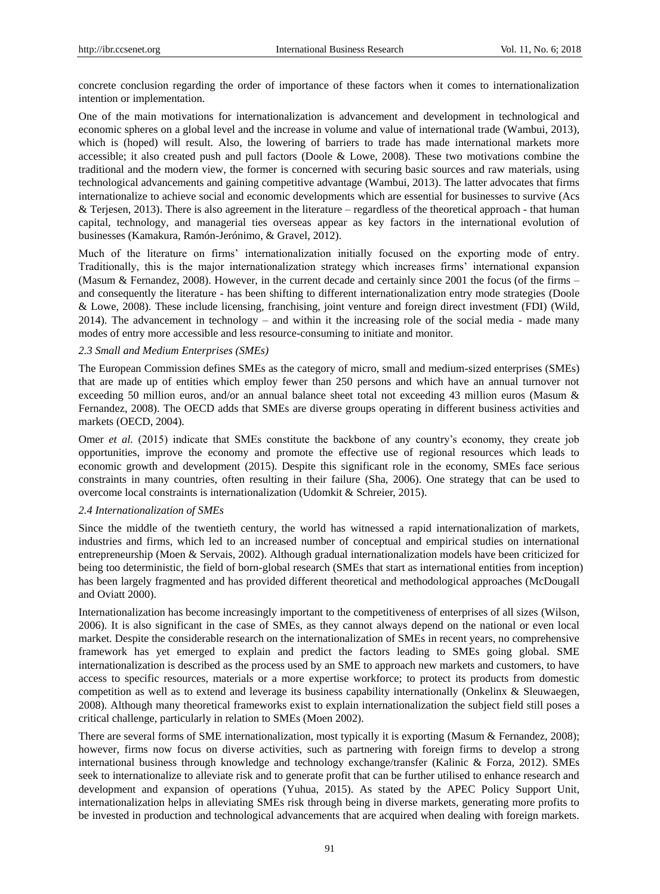concrete conclusion regarding the order of importance of these factors when it comes to internationalization intention or implementation.

One of the main motivations for internationalization is advancement and development in technological and economic spheres on a global level and the increase in volume and value of international trade (Wambui, 2013), which is (hoped) will result. Also, the lowering of barriers to trade has made international markets more accessible; it also created push and pull factors (Doole & Lowe, 2008). These two motivations combine the traditional and the modern view, the former is concerned with securing basic sources and raw materials, using technological advancements and gaining competitive advantage (Wambui, 2013). The latter advocates that firms internationalize to achieve social and economic developments which are essential for businesses to survive (Acs & Terjesen, 2013). There is also agreement in the literature – regardless of the theoretical approach - that human capital, technology, and managerial ties overseas appear as key factors in the international evolution of businesses (Kamakura, Ramón-Jerónimo, & Gravel, 2012).

Much of the literature on firms' internationalization initially focused on the exporting mode of entry. Traditionally, this is the major internationalization strategy which increases firms' international expansion (Masum & Fernandez, 2008). However, in the current decade and certainly since 2001 the focus (of the firms – and consequently the literature - has been shifting to different internationalization entry mode strategies (Doole & Lowe, 2008). These include licensing, franchising, joint venture and foreign direct investment (FDI) (Wild, 2014). The advancement in technology – and within it the increasing role of the social media - made many modes of entry more accessible and less resource-consuming to initiate and monitor.

## *2.3 Small and Medium Enterprises (SMEs)*

The European Commission defines SMEs as the category of micro, small and medium-sized enterprises (SMEs) that are made up of entities which employ fewer than 250 persons and which have an annual turnover not exceeding 50 million euros, and/or an annual balance sheet total not exceeding 43 million euros (Masum & Fernandez, 2008). The OECD adds that SMEs are diverse groups operating in different business activities and markets (OECD, 2004).

Omer *et al.* (2015) indicate that SMEs constitute the backbone of any country's economy, they create job opportunities, improve the economy and promote the effective use of regional resources which leads to economic growth and development (2015). Despite this significant role in the economy, SMEs face serious constraints in many countries, often resulting in their failure (Sha, 2006). One strategy that can be used to overcome local constraints is internationalization (Udomkit & Schreier, 2015).

#### *2.4 Internationalization of SMEs*

Since the middle of the twentieth century, the world has witnessed a rapid internationalization of markets, industries and firms, which led to an increased number of conceptual and empirical studies on international entrepreneurship (Moen & Servais, 2002). Although gradual internationalization models have been criticized for being too deterministic, the field of born-global research (SMEs that start as international entities from inception) has been largely fragmented and has provided different theoretical and methodological approaches (McDougall and Oviatt 2000).

Internationalization has become increasingly important to the competitiveness of enterprises of all sizes (Wilson, 2006). It is also significant in the case of SMEs, as they cannot always depend on the national or even local market. Despite the considerable research on the internationalization of SMEs in recent years, no comprehensive framework has yet emerged to explain and predict the factors leading to SMEs going global. SME internationalization is described as the process used by an SME to approach new markets and customers, to have access to specific resources, materials or a more expertise workforce; to protect its products from domestic competition as well as to extend and leverage its business capability internationally (Onkelinx & Sleuwaegen, 2008). Although many theoretical frameworks exist to explain internationalization the subject field still poses a critical challenge, particularly in relation to SMEs (Moen 2002).

There are several forms of SME internationalization, most typically it is exporting (Masum & Fernandez, 2008); however, firms now focus on diverse activities, such as partnering with foreign firms to develop a strong international business through knowledge and technology exchange/transfer (Kalinic & Forza, 2012). SMEs seek to internationalize to alleviate risk and to generate profit that can be further utilised to enhance research and development and expansion of operations (Yuhua, 2015). As stated by the APEC Policy Support Unit, internationalization helps in alleviating SMEs risk through being in diverse markets, generating more profits to be invested in production and technological advancements that are acquired when dealing with foreign markets.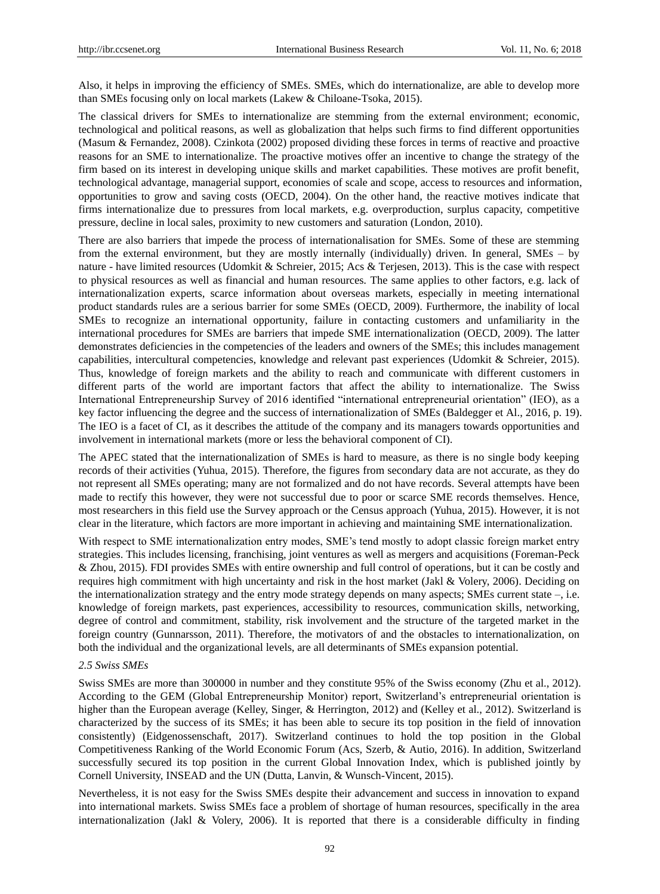Also, it helps in improving the efficiency of SMEs. SMEs, which do internationalize, are able to develop more than SMEs focusing only on local markets (Lakew & Chiloane-Tsoka, 2015).

The classical drivers for SMEs to internationalize are stemming from the external environment; economic, technological and political reasons, as well as globalization that helps such firms to find different opportunities (Masum & Fernandez, 2008). Czinkota (2002) proposed dividing these forces in terms of reactive and proactive reasons for an SME to internationalize. The proactive motives offer an incentive to change the strategy of the firm based on its interest in developing unique skills and market capabilities. These motives are profit benefit, technological advantage, managerial support, economies of scale and scope, access to resources and information, opportunities to grow and saving costs (OECD, 2004). On the other hand, the reactive motives indicate that firms internationalize due to pressures from local markets, e.g. overproduction, surplus capacity, competitive pressure, decline in local sales, proximity to new customers and saturation (London, 2010).

There are also barriers that impede the process of internationalisation for SMEs. Some of these are stemming from the external environment, but they are mostly internally (individually) driven. In general, SMEs – by nature - have limited resources (Udomkit & Schreier, 2015; Acs & Terjesen, 2013). This is the case with respect to physical resources as well as financial and human resources. The same applies to other factors, e.g. lack of internationalization experts, scarce information about overseas markets, especially in meeting international product standards rules are a serious barrier for some SMEs (OECD, 2009). Furthermore, the inability of local SMEs to recognize an international opportunity, failure in contacting customers and unfamiliarity in the international procedures for SMEs are barriers that impede SME internationalization (OECD, 2009). The latter demonstrates deficiencies in the competencies of the leaders and owners of the SMEs; this includes management capabilities, intercultural competencies, knowledge and relevant past experiences (Udomkit & Schreier, 2015). Thus, knowledge of foreign markets and the ability to reach and communicate with different customers in different parts of the world are important factors that affect the ability to internationalize. The Swiss International Entrepreneurship Survey of 2016 identified "international entrepreneurial orientation" (IEO), as a key factor influencing the degree and the success of internationalization of SMEs (Baldegger et Al., 2016, p. 19). The IEO is a facet of CI, as it describes the attitude of the company and its managers towards opportunities and involvement in international markets (more or less the behavioral component of CI).

The APEC stated that the internationalization of SMEs is hard to measure, as there is no single body keeping records of their activities (Yuhua, 2015). Therefore, the figures from secondary data are not accurate, as they do not represent all SMEs operating; many are not formalized and do not have records. Several attempts have been made to rectify this however, they were not successful due to poor or scarce SME records themselves. Hence, most researchers in this field use the Survey approach or the Census approach (Yuhua, 2015). However, it is not clear in the literature, which factors are more important in achieving and maintaining SME internationalization.

With respect to SME internationalization entry modes, SME's tend mostly to adopt classic foreign market entry strategies. This includes licensing, franchising, joint ventures as well as mergers and acquisitions (Foreman-Peck & Zhou, 2015). FDI provides SMEs with entire ownership and full control of operations, but it can be costly and requires high commitment with high uncertainty and risk in the host market (Jakl & Volery, 2006). Deciding on the internationalization strategy and the entry mode strategy depends on many aspects; SMEs current state –, i.e. knowledge of foreign markets, past experiences, accessibility to resources, communication skills, networking, degree of control and commitment, stability, risk involvement and the structure of the targeted market in the foreign country (Gunnarsson, 2011). Therefore, the motivators of and the obstacles to internationalization, on both the individual and the organizational levels, are all determinants of SMEs expansion potential.

## *2.5 Swiss SMEs*

Swiss SMEs are more than 300000 in number and they constitute 95% of the Swiss economy (Zhu et al., 2012). According to the GEM (Global Entrepreneurship Monitor) report, Switzerland's entrepreneurial orientation is higher than the European average (Kelley, Singer, & Herrington, 2012) and (Kelley et al., 2012). Switzerland is characterized by the success of its SMEs; it has been able to secure its top position in the field of innovation consistently) (Eidgenossenschaft, 2017). Switzerland continues to hold the top position in the Global Competitiveness Ranking of the World Economic Forum (Acs, Szerb, & Autio, 2016). In addition, Switzerland successfully secured its top position in the current Global Innovation Index, which is published jointly by Cornell University, INSEAD and the UN (Dutta, Lanvin, & Wunsch-Vincent, 2015).

Nevertheless, it is not easy for the Swiss SMEs despite their advancement and success in innovation to expand into international markets. Swiss SMEs face a problem of shortage of human resources, specifically in the area internationalization (Jakl & Volery, 2006). It is reported that there is a considerable difficulty in finding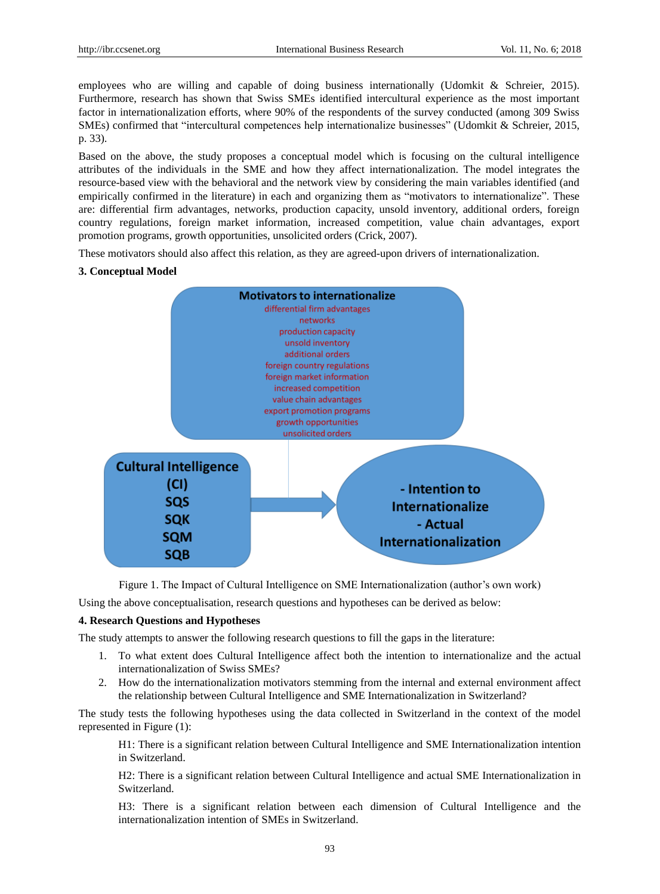employees who are willing and capable of doing business internationally (Udomkit & Schreier, 2015). Furthermore, research has shown that Swiss SMEs identified intercultural experience as the most important factor in internationalization efforts, where 90% of the respondents of the survey conducted (among 309 Swiss SMEs) confirmed that "intercultural competences help internationalize businesses" (Udomkit & Schreier, 2015, p. 33).

Based on the above, the study proposes a conceptual model which is focusing on the cultural intelligence attributes of the individuals in the SME and how they affect internationalization. The model integrates the resource-based view with the behavioral and the network view by considering the main variables identified (and empirically confirmed in the literature) in each and organizing them as "motivators to internationalize". These are: differential firm advantages, networks, production capacity, unsold inventory, additional orders, foreign country regulations, foreign market information, increased competition, value chain advantages, export promotion programs, growth opportunities, unsolicited orders (Crick, 2007).

These motivators should also affect this relation, as they are agreed-upon drivers of internationalization.

## **3. Conceptual Model**



Figure 1. The Impact of Cultural Intelligence on SME Internationalization (author's own work)

Using the above conceptualisation, research questions and hypotheses can be derived as below:

## **4. Research Questions and Hypotheses**

The study attempts to answer the following research questions to fill the gaps in the literature:

- 1. To what extent does Cultural Intelligence affect both the intention to internationalize and the actual internationalization of Swiss SMEs?
- 2. How do the internationalization motivators stemming from the internal and external environment affect the relationship between Cultural Intelligence and SME Internationalization in Switzerland?

The study tests the following hypotheses using the data collected in Switzerland in the context of the model represented in Figure (1):

H1: There is a significant relation between Cultural Intelligence and SME Internationalization intention in Switzerland.

H2: There is a significant relation between Cultural Intelligence and actual SME Internationalization in Switzerland.

H3: There is a significant relation between each dimension of Cultural Intelligence and the internationalization intention of SMEs in Switzerland.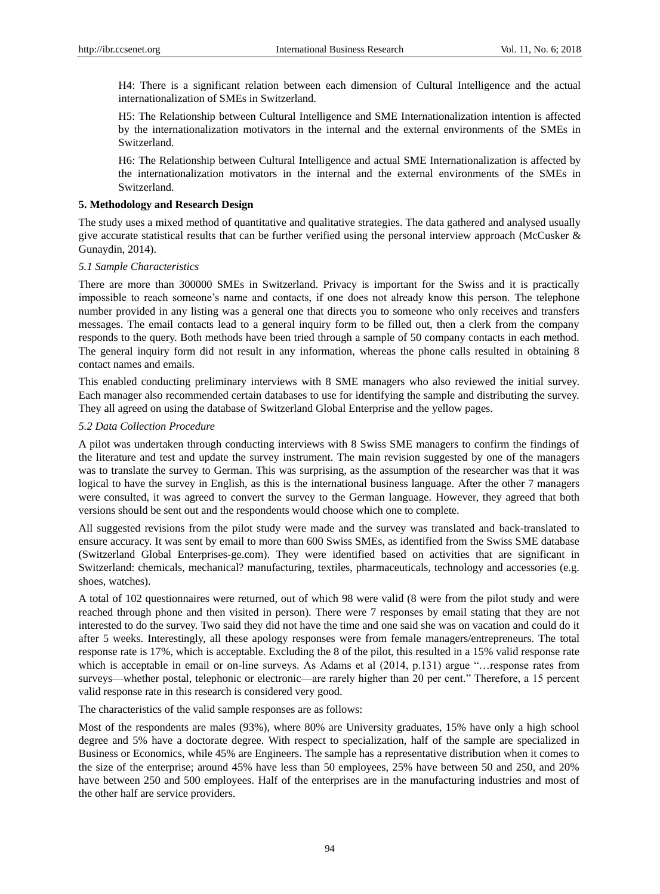H4: There is a significant relation between each dimension of Cultural Intelligence and the actual internationalization of SMEs in Switzerland.

H5: The Relationship between Cultural Intelligence and SME Internationalization intention is affected by the internationalization motivators in the internal and the external environments of the SMEs in Switzerland.

H6: The Relationship between Cultural Intelligence and actual SME Internationalization is affected by the internationalization motivators in the internal and the external environments of the SMEs in Switzerland.

## **5. Methodology and Research Design**

The study uses a mixed method of quantitative and qualitative strategies. The data gathered and analysed usually give accurate statistical results that can be further verified using the personal interview approach (McCusker & Gunaydin, 2014).

#### *5.1 Sample Characteristics*

There are more than 300000 SMEs in Switzerland. Privacy is important for the Swiss and it is practically impossible to reach someone's name and contacts, if one does not already know this person. The telephone number provided in any listing was a general one that directs you to someone who only receives and transfers messages. The email contacts lead to a general inquiry form to be filled out, then a clerk from the company responds to the query. Both methods have been tried through a sample of 50 company contacts in each method. The general inquiry form did not result in any information, whereas the phone calls resulted in obtaining 8 contact names and emails.

This enabled conducting preliminary interviews with 8 SME managers who also reviewed the initial survey. Each manager also recommended certain databases to use for identifying the sample and distributing the survey. They all agreed on using the database of Switzerland Global Enterprise and the yellow pages.

#### *5.2 Data Collection Procedure*

A pilot was undertaken through conducting interviews with 8 Swiss SME managers to confirm the findings of the literature and test and update the survey instrument. The main revision suggested by one of the managers was to translate the survey to German. This was surprising, as the assumption of the researcher was that it was logical to have the survey in English, as this is the international business language. After the other 7 managers were consulted, it was agreed to convert the survey to the German language. However, they agreed that both versions should be sent out and the respondents would choose which one to complete.

All suggested revisions from the pilot study were made and the survey was translated and back-translated to ensure accuracy. It was sent by email to more than 600 Swiss SMEs, as identified from the Swiss SME database (Switzerland Global Enterprises-ge.com). They were identified based on activities that are significant in Switzerland: chemicals, mechanical? manufacturing, textiles, pharmaceuticals, technology and accessories (e.g. shoes, watches).

A total of 102 questionnaires were returned, out of which 98 were valid (8 were from the pilot study and were reached through phone and then visited in person). There were 7 responses by email stating that they are not interested to do the survey. Two said they did not have the time and one said she was on vacation and could do it after 5 weeks. Interestingly, all these apology responses were from female managers/entrepreneurs. The total response rate is 17%, which is acceptable. Excluding the 8 of the pilot, this resulted in a 15% valid response rate which is acceptable in email or on-line surveys. As Adams et al  $(2014, p.131)$  argue "... response rates from surveys—whether postal, telephonic or electronic—are rarely higher than 20 per cent." Therefore, a 15 percent valid response rate in this research is considered very good.

The characteristics of the valid sample responses are as follows:

Most of the respondents are males (93%), where 80% are University graduates, 15% have only a high school degree and 5% have a doctorate degree. With respect to specialization, half of the sample are specialized in Business or Economics, while 45% are Engineers. The sample has a representative distribution when it comes to the size of the enterprise; around 45% have less than 50 employees, 25% have between 50 and 250, and 20% have between 250 and 500 employees. Half of the enterprises are in the manufacturing industries and most of the other half are service providers.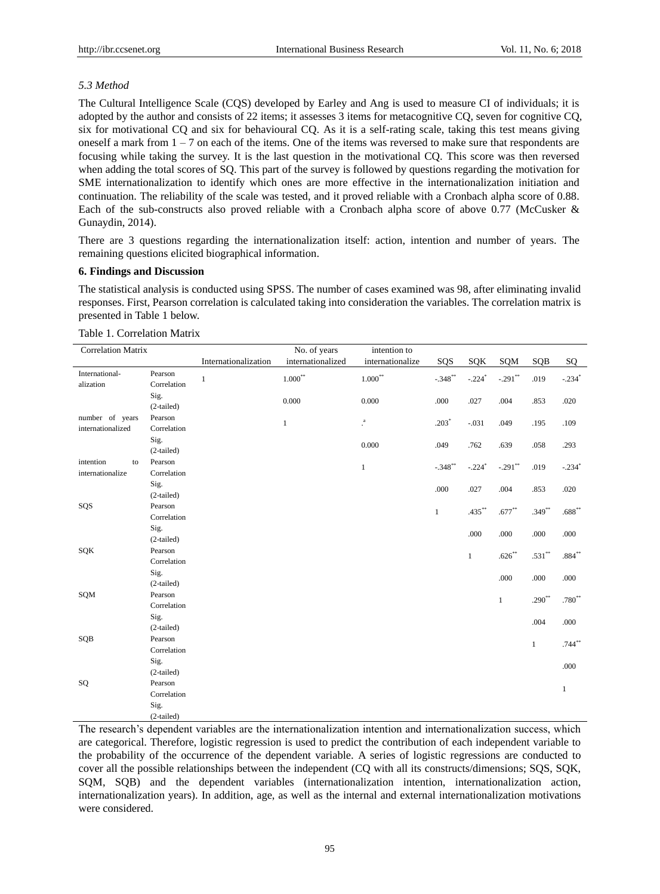## *5.3 Method*

The Cultural Intelligence Scale (CQS) developed by Earley and Ang is used to measure CI of individuals; it is adopted by the author and consists of 22 items; it assesses 3 items for metacognitive CQ, seven for cognitive CQ, six for motivational CQ and six for behavioural CQ. As it is a self-rating scale, taking this test means giving oneself a mark from  $1 - 7$  on each of the items. One of the items was reversed to make sure that respondents are focusing while taking the survey. It is the last question in the motivational CQ. This score was then reversed when adding the total scores of SQ. This part of the survey is followed by questions regarding the motivation for SME internationalization to identify which ones are more effective in the internationalization initiation and continuation. The reliability of the scale was tested, and it proved reliable with a Cronbach alpha score of 0.88. Each of the sub-constructs also proved reliable with a Cronbach alpha score of above 0.77 (McCusker & Gunaydin, 2014).

There are 3 questions regarding the internationalization itself: action, intention and number of years. The remaining questions elicited biographical information.

## **6. Findings and Discussion**

The statistical analysis is conducted using SPSS. The number of cases examined was 98, after eliminating invalid responses. First, Pearson correlation is calculated taking into consideration the variables. The correlation matrix is presented in Table 1 below.

| <b>Correlation Matrix</b>            |                        |                      | No. of years       | intention to       |              |              |            |              |              |
|--------------------------------------|------------------------|----------------------|--------------------|--------------------|--------------|--------------|------------|--------------|--------------|
|                                      |                        | Internationalization | internationalized  | internationalize   | <b>SQS</b>   | SQK          | SQM        | SQB          | SQ           |
| International-<br>alization          | Pearson<br>Correlation | $\mathbf{1}$         | $1.000^{\ast\ast}$ | $1.000^{**}$       | $-.348**$    | $-.224*$     | $-.291**$  | .019         | $-.234*$     |
|                                      | Sig.<br>$(2-tailed)$   |                      | 0.000              | 0.000              | .000         | .027         | .004       | .853         | .020         |
| number of years<br>internationalized | Pearson<br>Correlation |                      | $\mathbf{1}$       | $_{\rm *}^{\rm a}$ | $.203*$      | $-.031$      | .049       | .195         | .109         |
|                                      | Sig.<br>$(2-tailed)$   |                      |                    | 0.000              | .049         | .762         | .639       | .058         | .293         |
| intention<br>to<br>internationalize  | Pearson<br>Correlation |                      |                    | $\mathbf{1}$       | $-.348**$    | $-.224*$     | $-.291***$ | .019         | $-.234*$     |
|                                      | Sig.<br>$(2-tailed)$   |                      |                    |                    | .000         | .027         | .004       | .853         | .020         |
| SQS                                  | Pearson<br>Correlation |                      |                    |                    | $\mathbf{1}$ | $.435***$    | $.677**$   | $.349**$     | $.688**$     |
|                                      | Sig.<br>$(2-tailed)$   |                      |                    |                    |              | .000         | .000       | $.000\,$     | .000         |
| SQK                                  | Pearson<br>Correlation |                      |                    |                    |              | $\mathbf{1}$ | $.626**$   | $.531**$     | $.884**$     |
|                                      | Sig.<br>$(2-tailed)$   |                      |                    |                    |              |              | .000       | $.000\,$     | .000         |
| SQM                                  | Pearson<br>Correlation |                      |                    |                    |              |              | $1\,$      | $.290**$     | $.780**$     |
|                                      | Sig.<br>$(2-tailed)$   |                      |                    |                    |              |              |            | .004         | .000         |
| <b>SQB</b>                           | Pearson<br>Correlation |                      |                    |                    |              |              |            | $\mathbf{1}$ | $.744**$     |
|                                      | Sig.<br>(2-tailed)     |                      |                    |                    |              |              |            |              | .000         |
| ${\bf SQ}$                           | Pearson<br>Correlation |                      |                    |                    |              |              |            |              | $\mathbf{1}$ |
|                                      | Sig.<br>$(2-tailed)$   |                      |                    |                    |              |              |            |              |              |

The research's dependent variables are the internationalization intention and internationalization success, which are categorical. Therefore, logistic regression is used to predict the contribution of each independent variable to the probability of the occurrence of the dependent variable. A series of logistic regressions are conducted to cover all the possible relationships between the independent (CQ with all its constructs/dimensions; SQS, SQK, SQM, SQB) and the dependent variables (internationalization intention, internationalization action, internationalization years). In addition, age, as well as the internal and external internationalization motivations were considered.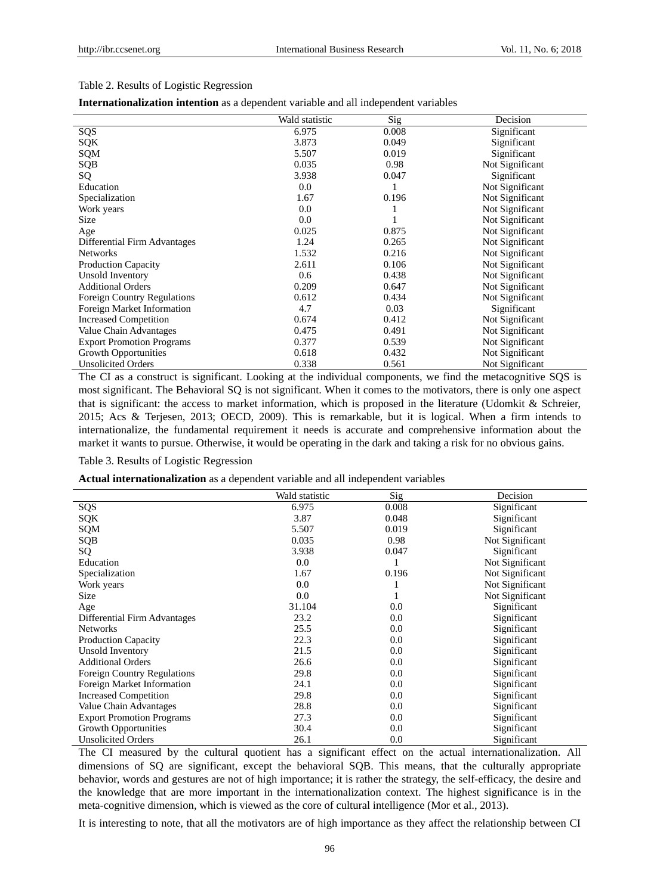## Table 2. Results of Logistic Regression

| <b>Internationalization intention</b> as a dependent variable and all independent variables |  |  |  |
|---------------------------------------------------------------------------------------------|--|--|--|
|---------------------------------------------------------------------------------------------|--|--|--|

|                                    | Wald statistic | Sig   | Decision        |
|------------------------------------|----------------|-------|-----------------|
| SQS                                | 6.975          | 0.008 | Significant     |
| SQK                                | 3.873          | 0.049 | Significant     |
| SQM                                | 5.507          | 0.019 | Significant     |
| SQB                                | 0.035          | 0.98  | Not Significant |
| SQ                                 | 3.938          | 0.047 | Significant     |
| Education                          | 0.0            |       | Not Significant |
| Specialization                     | 1.67           | 0.196 | Not Significant |
| Work years                         | 0.0            |       | Not Significant |
| Size                               | 0.0            |       | Not Significant |
| Age                                | 0.025          | 0.875 | Not Significant |
| Differential Firm Advantages       | 1.24           | 0.265 | Not Significant |
| <b>Networks</b>                    | 1.532          | 0.216 | Not Significant |
| <b>Production Capacity</b>         | 2.611          | 0.106 | Not Significant |
| <b>Unsold Inventory</b>            | 0.6            | 0.438 | Not Significant |
| <b>Additional Orders</b>           | 0.209          | 0.647 | Not Significant |
| <b>Foreign Country Regulations</b> | 0.612          | 0.434 | Not Significant |
| Foreign Market Information         | 4.7            | 0.03  | Significant     |
| <b>Increased Competition</b>       | 0.674          | 0.412 | Not Significant |
| Value Chain Advantages             | 0.475          | 0.491 | Not Significant |
| <b>Export Promotion Programs</b>   | 0.377          | 0.539 | Not Significant |
| <b>Growth Opportunities</b>        | 0.618          | 0.432 | Not Significant |
| <b>Unsolicited Orders</b>          | 0.338          | 0.561 | Not Significant |

The CI as a construct is significant. Looking at the individual components, we find the metacognitive SQS is most significant. The Behavioral SQ is not significant. When it comes to the motivators, there is only one aspect that is significant: the access to market information, which is proposed in the literature (Udomkit & Schreier, 2015; Acs & Terjesen, 2013; OECD, 2009). This is remarkable, but it is logical. When a firm intends to internationalize, the fundamental requirement it needs is accurate and comprehensive information about the market it wants to pursue. Otherwise, it would be operating in the dark and taking a risk for no obvious gains.

Table 3. Results of Logistic Regression

**Actual internationalization** as a dependent variable and all independent variables

|                                    | Wald statistic | Sig   | Decision        |
|------------------------------------|----------------|-------|-----------------|
| SQS                                | 6.975          | 0.008 | Significant     |
| SQK                                | 3.87           | 0.048 | Significant     |
| SQM                                | 5.507          | 0.019 | Significant     |
| SQB                                | 0.035          | 0.98  | Not Significant |
| SQ                                 | 3.938          | 0.047 | Significant     |
| Education                          | $0.0\,$        |       | Not Significant |
| Specialization                     | 1.67           | 0.196 | Not Significant |
| Work years                         | $0.0\,$        |       | Not Significant |
| Size                               | $0.0\,$        | 1     | Not Significant |
| Age                                | 31.104         | 0.0   | Significant     |
| Differential Firm Advantages       | 23.2           | 0.0   | Significant     |
| <b>Networks</b>                    | 25.5           | 0.0   | Significant     |
| <b>Production Capacity</b>         | 22.3           | 0.0   | Significant     |
| Unsold Inventory                   | 21.5           | 0.0   | Significant     |
| <b>Additional Orders</b>           | 26.6           | 0.0   | Significant     |
| <b>Foreign Country Regulations</b> | 29.8           | 0.0   | Significant     |
| Foreign Market Information         | 24.1           | 0.0   | Significant     |
| <b>Increased Competition</b>       | 29.8           | 0.0   | Significant     |
| Value Chain Advantages             | 28.8           | 0.0   | Significant     |
| <b>Export Promotion Programs</b>   | 27.3           | 0.0   | Significant     |
| <b>Growth Opportunities</b>        | 30.4           | 0.0   | Significant     |
| <b>Unsolicited Orders</b>          | 26.1           | 0.0   | Significant     |

The CI measured by the cultural quotient has a significant effect on the actual internationalization. All dimensions of SQ are significant, except the behavioral SQB. This means, that the culturally appropriate behavior, words and gestures are not of high importance; it is rather the strategy, the self-efficacy, the desire and the knowledge that are more important in the internationalization context. The highest significance is in the meta-cognitive dimension, which is viewed as the core of cultural intelligence (Mor et al., 2013).

It is interesting to note, that all the motivators are of high importance as they affect the relationship between CI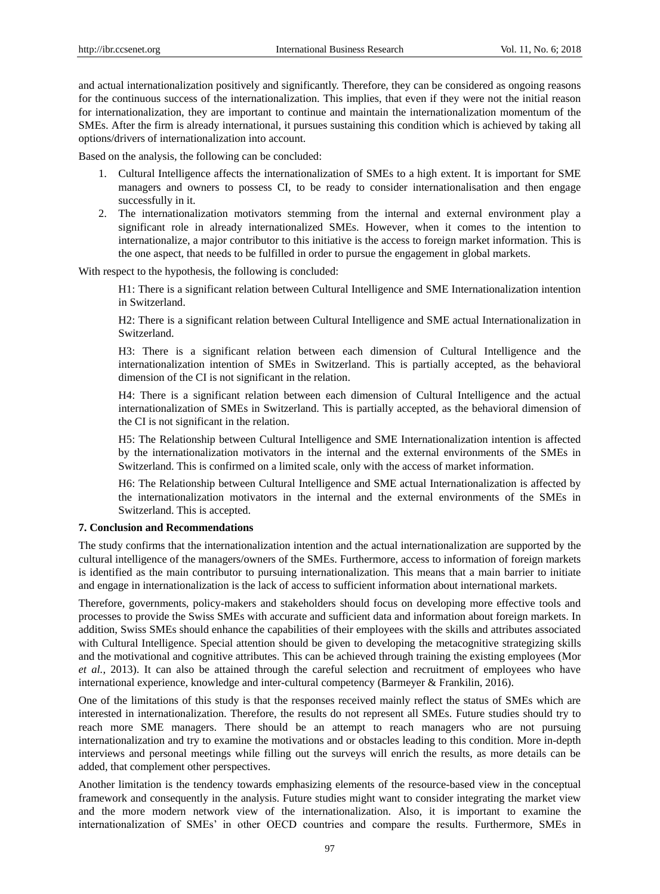and actual internationalization positively and significantly. Therefore, they can be considered as ongoing reasons for the continuous success of the internationalization. This implies, that even if they were not the initial reason for internationalization, they are important to continue and maintain the internationalization momentum of the SMEs. After the firm is already international, it pursues sustaining this condition which is achieved by taking all options/drivers of internationalization into account.

Based on the analysis, the following can be concluded:

- 1. Cultural Intelligence affects the internationalization of SMEs to a high extent. It is important for SME managers and owners to possess CI, to be ready to consider internationalisation and then engage successfully in it.
- 2. The internationalization motivators stemming from the internal and external environment play a significant role in already internationalized SMEs. However, when it comes to the intention to internationalize, a major contributor to this initiative is the access to foreign market information. This is the one aspect, that needs to be fulfilled in order to pursue the engagement in global markets.

With respect to the hypothesis, the following is concluded:

H1: There is a significant relation between Cultural Intelligence and SME Internationalization intention in Switzerland.

H2: There is a significant relation between Cultural Intelligence and SME actual Internationalization in Switzerland.

H3: There is a significant relation between each dimension of Cultural Intelligence and the internationalization intention of SMEs in Switzerland. This is partially accepted, as the behavioral dimension of the CI is not significant in the relation.

H4: There is a significant relation between each dimension of Cultural Intelligence and the actual internationalization of SMEs in Switzerland. This is partially accepted, as the behavioral dimension of the CI is not significant in the relation.

H5: The Relationship between Cultural Intelligence and SME Internationalization intention is affected by the internationalization motivators in the internal and the external environments of the SMEs in Switzerland. This is confirmed on a limited scale, only with the access of market information.

H6: The Relationship between Cultural Intelligence and SME actual Internationalization is affected by the internationalization motivators in the internal and the external environments of the SMEs in Switzerland. This is accepted.

## **7. Conclusion and Recommendations**

The study confirms that the internationalization intention and the actual internationalization are supported by the cultural intelligence of the managers/owners of the SMEs. Furthermore, access to information of foreign markets is identified as the main contributor to pursuing internationalization. This means that a main barrier to initiate and engage in internationalization is the lack of access to sufficient information about international markets.

Therefore, governments, policy-makers and stakeholders should focus on developing more effective tools and processes to provide the Swiss SMEs with accurate and sufficient data and information about foreign markets. In addition, Swiss SMEs should enhance the capabilities of their employees with the skills and attributes associated with Cultural Intelligence. Special attention should be given to developing the metacognitive strategizing skills and the motivational and cognitive attributes. This can be achieved through training the existing employees (Mor *et al.*, 2013). It can also be attained through the careful selection and recruitment of employees who have international experience, knowledge and inter-cultural competency (Barmeyer & Frankilin, 2016).

One of the limitations of this study is that the responses received mainly reflect the status of SMEs which are interested in internationalization. Therefore, the results do not represent all SMEs. Future studies should try to reach more SME managers. There should be an attempt to reach managers who are not pursuing internationalization and try to examine the motivations and or obstacles leading to this condition. More in-depth interviews and personal meetings while filling out the surveys will enrich the results, as more details can be added, that complement other perspectives.

Another limitation is the tendency towards emphasizing elements of the resource-based view in the conceptual framework and consequently in the analysis. Future studies might want to consider integrating the market view and the more modern network view of the internationalization. Also, it is important to examine the internationalization of SMEs' in other OECD countries and compare the results. Furthermore, SMEs in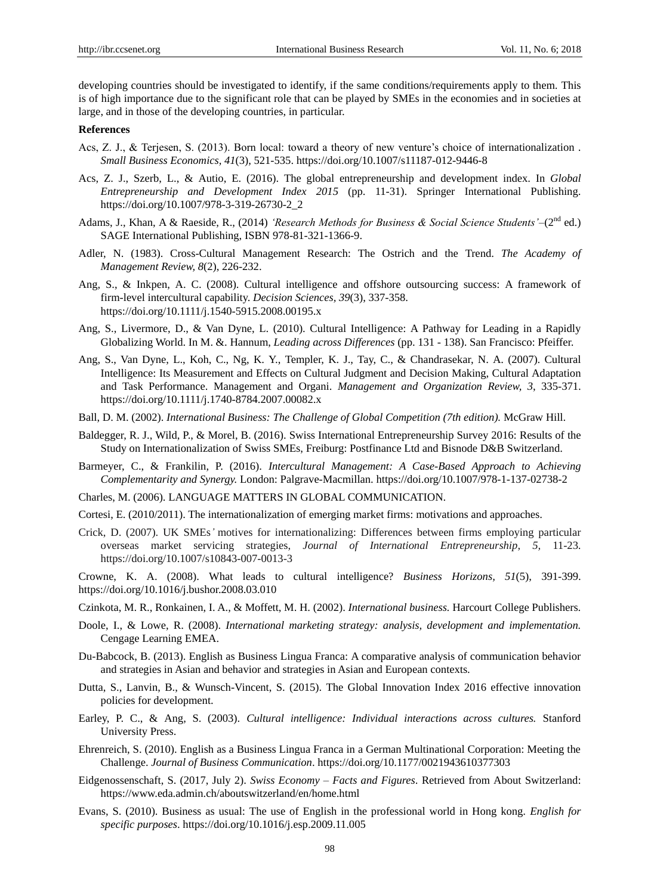developing countries should be investigated to identify, if the same conditions/requirements apply to them. This is of high importance due to the significant role that can be played by SMEs in the economies and in societies at large, and in those of the developing countries, in particular.

#### **References**

- Acs, Z. J., & Terjesen, S. (2013). Born local: toward a theory of new venture's choice of internationalization . *Small Business Economics, 41*(3), 521-535. https://doi.org/10.1007/s11187-012-9446-8
- Acs, Z. J., Szerb, L., & Autio, E. (2016). The global entrepreneurship and development index. In *Global Entrepreneurship and Development Index 2015* (pp. 11-31). Springer International Publishing. https://doi.org/10.1007/978-3-319-26730-2\_2
- Adams, J., Khan, A & Raeside, R., (2014) *'Research Methods for Business & Social Science Students'*–(2<sup>nd</sup> ed.) SAGE International Publishing, ISBN 978-81-321-1366-9.
- Adler, N. (1983). Cross-Cultural Management Research: The Ostrich and the Trend. *The Academy of Management Review, 8*(2), 226-232.
- Ang, S., & Inkpen, A. C. (2008). Cultural intelligence and offshore outsourcing success: A framework of firm-level intercultural capability. *Decision Sciences, 39*(3), 337-358. https://doi.org/10.1111/j.1540-5915.2008.00195.x
- Ang, S., Livermore, D., & Van Dyne, L. (2010). Cultural Intelligence: A Pathway for Leading in a Rapidly Globalizing World. In M. &. Hannum, *Leading across Differences* (pp. 131 - 138). San Francisco: Pfeiffer.
- Ang, S., Van Dyne, L., Koh, C., Ng, K. Y., Templer, K. J., Tay, C., & Chandrasekar, N. A. (2007). Cultural Intelligence: Its Measurement and Effects on Cultural Judgment and Decision Making, Cultural Adaptation and Task Performance. Management and Organi. *Management and Organization Review, 3*, 335-371. https://doi.org/10.1111/j.1740-8784.2007.00082.x
- Ball, D. M. (2002). *International Business: The Challenge of Global Competition (7th edition).* McGraw Hill.
- Baldegger, R. J., Wild, P., & Morel, B. (2016). Swiss International Entrepreneurship Survey 2016: Results of the Study on Internationalization of Swiss SMEs, Freiburg: Postfinance Ltd and Bisnode D&B Switzerland.
- Barmeyer, C., & Frankilin, P. (2016). *Intercultural Management: A Case-Based Approach to Achieving Complementarity and Synergy.* London: Palgrave-Macmillan. https://doi.org/10.1007/978-1-137-02738-2
- Charles, M. (2006). LANGUAGE MATTERS IN GLOBAL COMMUNICATION.
- Cortesi, E. (2010/2011). The internationalization of emerging market firms: motivations and approaches.
- Crick, D. (2007). UK SMEs*'* motives for internationalizing: Differences between firms employing particular overseas market servicing strategies, *Journal of International Entrepreneurship*, *5,* 11-23. https://doi.org/10.1007/s10843-007-0013-3
- Crowne, K. A. (2008). What leads to cultural intelligence? *Business Horizons, 51*(5), 391-399. https://doi.org/10.1016/j.bushor.2008.03.010
- Czinkota, M. R., Ronkainen, I. A., & Moffett, M. H. (2002). *International business.* Harcourt College Publishers.
- Doole, I., & Lowe, R. (2008). *International marketing strategy: analysis, development and implementation.* Cengage Learning EMEA.
- Du-Babcock, B. (2013). English as Business Lingua Franca: A comparative analysis of communication behavior and strategies in Asian and behavior and strategies in Asian and European contexts.
- Dutta, S., Lanvin, B., & Wunsch-Vincent, S. (2015). The Global Innovation Index 2016 effective innovation policies for development.
- Earley, P. C., & Ang, S. (2003). *Cultural intelligence: Individual interactions across cultures.* Stanford University Press.
- Ehrenreich, S. (2010). English as a Business Lingua Franca in a German Multinational Corporation: Meeting the Challenge. *Journal of Business Communication*. https://doi.org/10.1177/0021943610377303
- Eidgenossenschaft, S. (2017, July 2). *Swiss Economy – Facts and Figures*. Retrieved from About Switzerland: https://www.eda.admin.ch/aboutswitzerland/en/home.html
- Evans, S. (2010). Business as usual: The use of English in the professional world in Hong kong. *English for specific purposes*. https://doi.org/10.1016/j.esp.2009.11.005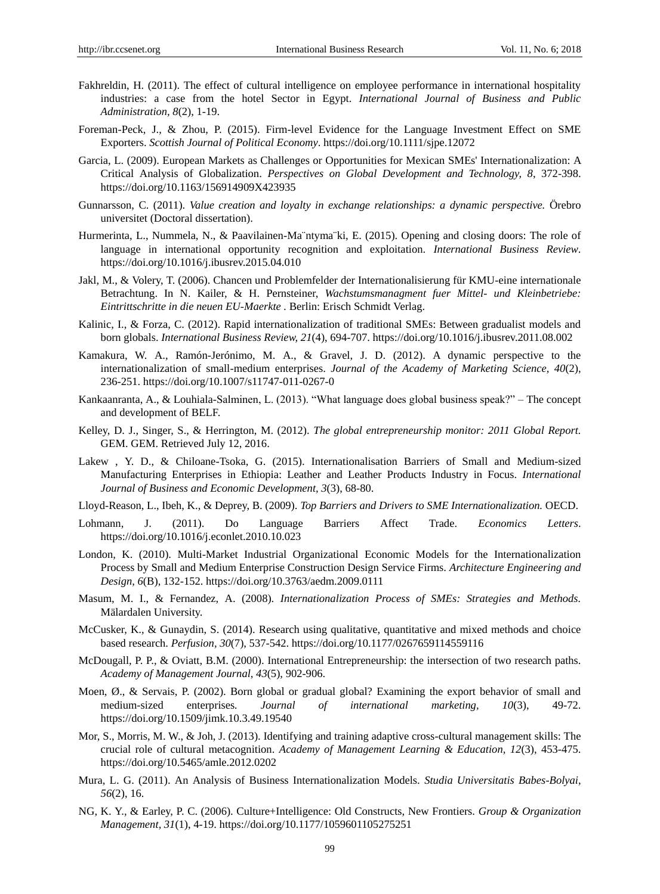- Fakhreldin, H. (2011). The effect of cultural intelligence on employee performance in international hospitality industries: a case from the hotel Sector in Egypt. *International Journal of Business and Public Administration, 8*(2), 1-19.
- Foreman-Peck, J., & Zhou, P. (2015). Firm-level Evidence for the Language Investment Effect on SME Exporters. *Scottish Journal of Political Economy*. https://doi.org/10.1111/sjpe.12072
- Garcia, L. (2009). European Markets as Challenges or Opportunities for Mexican SMEs' Internationalization: A Critical Analysis of Globalization. *Perspectives on Global Development and Technology, 8*, 372-398. https://doi.org/10.1163/156914909X423935
- Gunnarsson, C. (2011). *Value creation and loyalty in exchange relationships: a dynamic perspective.* Örebro universitet (Doctoral dissertation).
- Hurmerinta, L., Nummela, N., & Paavilainen-Ma ntyma ki, E. (2015). Opening and closing doors: The role of language in international opportunity recognition and exploitation. *International Business Review*. https://doi.org/10.1016/j.ibusrev.2015.04.010
- Jakl, M., & Volery, T. (2006). Chancen und Problemfelder der Internationalisierung für KMU-eine internationale Betrachtung. In N. Kailer, & H. Pernsteiner, *Wachstumsmanagment fuer Mittel- und Kleinbetriebe: Eintrittschritte in die neuen EU-Maerkte .* Berlin: Erisch Schmidt Verlag.
- Kalinic, I., & Forza, C. (2012). Rapid internationalization of traditional SMEs: Between gradualist models and born globals. *International Business Review, 21*(4), 694-707. https://doi.org/10.1016/j.ibusrev.2011.08.002
- Kamakura, W. A., Ramón-Jerónimo, M. A., & Gravel, J. D. (2012). A dynamic perspective to the internationalization of small-medium enterprises. *Journal of the Academy of Marketing Science, 40*(2), 236-251. https://doi.org/10.1007/s11747-011-0267-0
- Kankaanranta, A., & Louhiala-Salminen, L. (2013). "What language does global business speak?" The concept and development of BELF.
- Kelley, D. J., Singer, S., & Herrington, M. (2012). *The global entrepreneurship monitor: 2011 Global Report.* GEM. GEM. Retrieved July 12, 2016.
- Lakew , Y. D., & Chiloane-Tsoka, G. (2015). Internationalisation Barriers of Small and Medium-sized Manufacturing Enterprises in Ethiopia: Leather and Leather Products Industry in Focus. *International Journal of Business and Economic Development, 3*(3), 68-80.
- Lloyd-Reason, L., Ibeh, K., & Deprey, B. (2009). *Top Barriers and Drivers to SME Internationalization.* OECD.
- Lohmann, J. (2011). Do Language Barriers Affect Trade. *Economics Letters*. https://doi.org/10.1016/j.econlet.2010.10.023
- London, K. (2010). Multi-Market Industrial Organizational Economic Models for the Internationalization Process by Small and Medium Enterprise Construction Design Service Firms. *Architecture Engineering and Design, 6*(B), 132-152. https://doi.org/10.3763/aedm.2009.0111
- Masum, M. I., & Fernandez, A. (2008). *Internationalization Process of SMEs: Strategies and Methods.* Mälardalen University.
- McCusker, K., & Gunaydin, S. (2014). Research using qualitative, quantitative and mixed methods and choice based research. *Perfusion, 30*(7), 537-542. https://doi.org/10.1177/0267659114559116
- McDougall, P. P., & Oviatt, B.M. (2000). International Entrepreneurship: the intersection of two research paths. *Academy of Management Journal*, *43*(5), 902-906.
- Moen, Ø., & Servais, P. (2002). Born global or gradual global? Examining the export behavior of small and medium-sized enterprises*. Journal of international marketing, 10*(3), 49-72. https://doi.org/10.1509/jimk.10.3.49.19540
- Mor, S., Morris, M. W., & Joh, J. (2013). Identifying and training adaptive cross-cultural management skills: The crucial role of cultural metacognition. *Academy of Management Learning & Education, 12*(3), 453-475. https://doi.org/10.5465/amle.2012.0202
- Mura, L. G. (2011). An Analysis of Business Internationalization Models. *Studia Universitatis Babes-Bolyai, 56*(2), 16.
- NG, K. Y., & Earley, P. C. (2006). Culture+Intelligence: Old Constructs, New Frontiers. *Group & Organization Management, 31*(1), 4-19. https://doi.org/10.1177/1059601105275251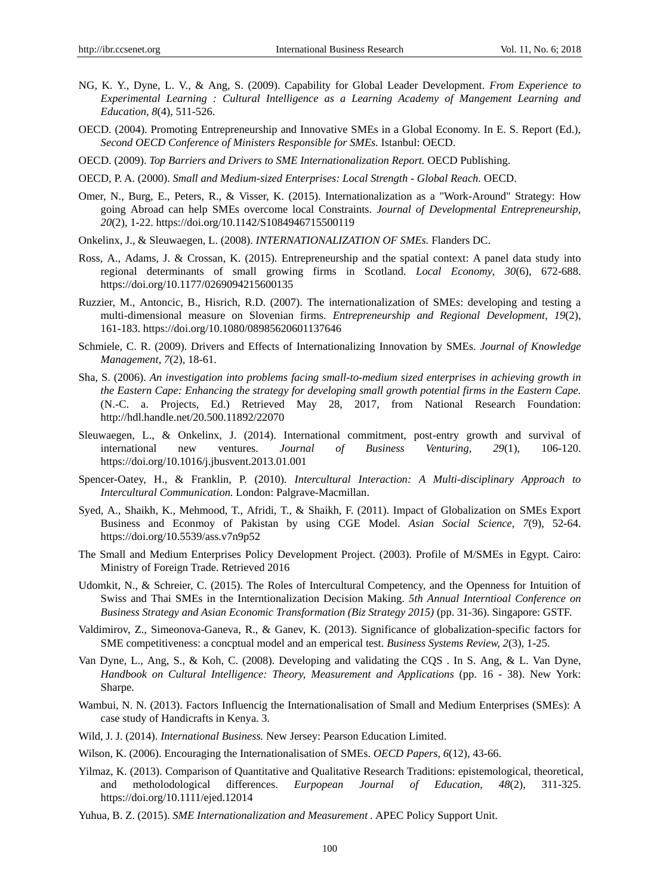- NG, K. Y., Dyne, L. V., & Ang, S. (2009). Capability for Global Leader Development. *From Experience to Experimental Learning : Cultural Intelligence as a Learning Academy of Mangement Learning and Education, 8*(4), 511-526.
- OECD. (2004). Promoting Entrepreneurship and Innovative SMEs in a Global Economy. In E. S. Report (Ed.), *Second OECD Conference of Ministers Responsible for SMEs.* Istanbul: OECD.
- OECD. (2009). *Top Barriers and Drivers to SME Internationalization Report.* OECD Publishing.
- OECD, P. A. (2000). *Small and Medium-sized Enterprises: Local Strength - Global Reach.* OECD.
- Omer, N., Burg, E., Peters, R., & Visser, K. (2015). Internationalization as a "Work-Around" Strategy: How going Abroad can help SMEs overcome local Constraints. *Journal of Developmental Entrepreneurship, 20*(2), 1-22. https://doi.org/10.1142/S1084946715500119
- Onkelinx, J., & Sleuwaegen, L. (2008). *INTERNATIONALIZATION OF SMEs.* Flanders DC.
- Ross, A., Adams, J. & Crossan, K. (2015). Entrepreneurship and the spatial context: A panel data study into regional determinants of small growing firms in Scotland. *Local Economy, 30*(6), 672-688. https://doi.org/10.1177/0269094215600135
- Ruzzier, M., Antoncic, B., Hisrich, R.D. (2007). The internationalization of SMEs: developing and testing a multi-dimensional measure on Slovenian firms. *Entrepreneurship and Regional Development, 19*(2), 161-183. https://doi.org/10.1080/08985620601137646
- Schmiele, C. R. (2009). Drivers and Effects of Internationalizing Innovation by SMEs. *Journal of Knowledge Management, 7*(2), 18-61.
- Sha, S. (2006). *An investigation into problems facing small-to-medium sized enterprises in achieving growth in the Eastern Cape: Enhancing the strategy for developing small growth potential firms in the Eastern Cape.* (N.-C. a. Projects, Ed.) Retrieved May 28, 2017, from National Research Foundation: http://hdl.handle.net/20.500.11892/22070
- Sleuwaegen, L., & Onkelinx, J. (2014). International commitment, post-entry growth and survival of international new ventures. *Journal of Business Venturing, 29*(1), 106-120. https://doi.org/10.1016/j.jbusvent.2013.01.001
- Spencer-Oatey, H., & Franklin, P. (2010). *Intercultural Interaction: A Multi-disciplinary Approach to Intercultural Communication.* London: Palgrave-Macmillan.
- Syed, A., Shaikh, K., Mehmood, T., Afridi, T., & Shaikh, F. (2011). Impact of Globalization on SMEs Export Business and Econmoy of Pakistan by using CGE Model. *Asian Social Science, 7*(9), 52-64. https://doi.org/10.5539/ass.v7n9p52
- The Small and Medium Enterprises Policy Development Project. (2003). Profile of M/SMEs in Egypt. Cairo: Ministry of Foreign Trade. Retrieved 2016
- Udomkit, N., & Schreier, C. (2015). The Roles of Intercultural Competency, and the Openness for Intuition of Swiss and Thai SMEs in the Interntionalization Decision Making. *5th Annual Interntioal Conference on Business Strategy and Asian Economic Transformation (Biz Strategy 2015)* (pp. 31-36). Singapore: GSTF.
- Valdimirov, Z., Simeonova-Ganeva, R., & Ganev, K. (2013). Significance of globalization-specific factors for SME competitiveness: a concptual model and an emperical test. *Business Systems Review, 2*(3), 1-25.
- Van Dyne, L., Ang, S., & Koh, C. (2008). Developing and validating the CQS . In S. Ang, & L. Van Dyne, *Handbook on Cultural Intelligence: Theory, Measurement and Applications* (pp. 16 - 38). New York: Sharpe.
- Wambui, N. N. (2013). Factors Influencig the Internationalisation of Small and Medium Enterprises (SMEs): A case study of Handicrafts in Kenya. 3.
- Wild, J. J. (2014). *International Business.* New Jersey: Pearson Education Limited.
- Wilson, K. (2006). Encouraging the Internationalisation of SMEs. *OECD Papers, 6*(12), 43-66.
- Yilmaz, K. (2013). Comparison of Quantitative and Qualitative Research Traditions: epistemological, theoretical, and metholodological differences. *Eurpopean Journal of Education, 48*(2), 311-325. https://doi.org/10.1111/ejed.12014
- Yuhua, B. Z. (2015). *SME Internationalization and Measurement .* APEC Policy Support Unit.